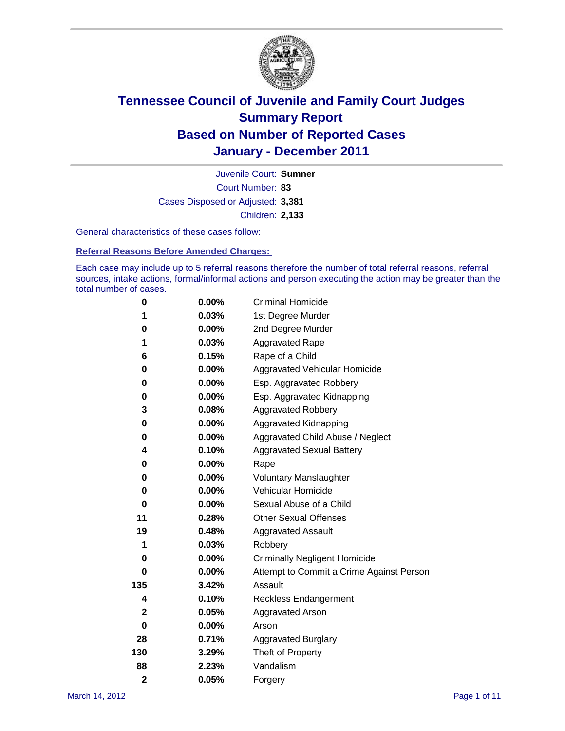

Court Number: **83** Juvenile Court: **Sumner** Cases Disposed or Adjusted: **3,381** Children: **2,133**

General characteristics of these cases follow:

**Referral Reasons Before Amended Charges:** 

Each case may include up to 5 referral reasons therefore the number of total referral reasons, referral sources, intake actions, formal/informal actions and person executing the action may be greater than the total number of cases.

| 0              | $0.00\%$ | <b>Criminal Homicide</b>                 |  |  |  |
|----------------|----------|------------------------------------------|--|--|--|
| 1              | 0.03%    | 1st Degree Murder                        |  |  |  |
| 0              | $0.00\%$ | 2nd Degree Murder                        |  |  |  |
| 1              | 0.03%    | <b>Aggravated Rape</b>                   |  |  |  |
| 6              | 0.15%    | Rape of a Child                          |  |  |  |
| 0              | 0.00%    | Aggravated Vehicular Homicide            |  |  |  |
| 0              | 0.00%    | Esp. Aggravated Robbery                  |  |  |  |
| 0              | $0.00\%$ | Esp. Aggravated Kidnapping               |  |  |  |
| 3              | 0.08%    | <b>Aggravated Robbery</b>                |  |  |  |
| 0              | $0.00\%$ | Aggravated Kidnapping                    |  |  |  |
| 0              | $0.00\%$ | Aggravated Child Abuse / Neglect         |  |  |  |
| 4              | 0.10%    | <b>Aggravated Sexual Battery</b>         |  |  |  |
| 0              | 0.00%    | Rape                                     |  |  |  |
| 0              | $0.00\%$ | <b>Voluntary Manslaughter</b>            |  |  |  |
| 0              | 0.00%    | Vehicular Homicide                       |  |  |  |
| 0              | 0.00%    | Sexual Abuse of a Child                  |  |  |  |
| 11             | 0.28%    | <b>Other Sexual Offenses</b>             |  |  |  |
| 19             | 0.48%    | <b>Aggravated Assault</b>                |  |  |  |
| 1              | 0.03%    | Robbery                                  |  |  |  |
| 0              | 0.00%    | <b>Criminally Negligent Homicide</b>     |  |  |  |
| 0              | $0.00\%$ | Attempt to Commit a Crime Against Person |  |  |  |
| 135            | 3.42%    | Assault                                  |  |  |  |
| 4              | 0.10%    | <b>Reckless Endangerment</b>             |  |  |  |
| 2              | 0.05%    | <b>Aggravated Arson</b>                  |  |  |  |
| 0              | 0.00%    | Arson                                    |  |  |  |
| 28             | 0.71%    | <b>Aggravated Burglary</b>               |  |  |  |
| 130            | 3.29%    | Theft of Property                        |  |  |  |
| 88             | 2.23%    | Vandalism                                |  |  |  |
| $\overline{2}$ | 0.05%    | Forgery                                  |  |  |  |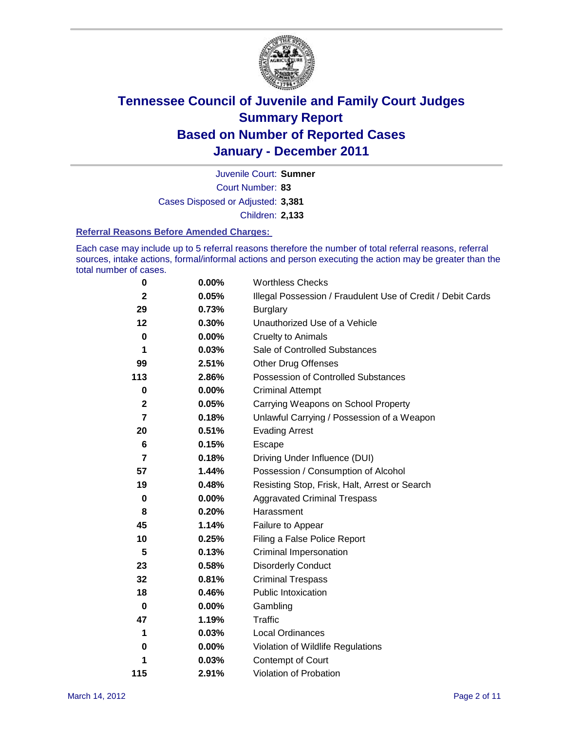

Court Number: **83** Juvenile Court: **Sumner** Cases Disposed or Adjusted: **3,381** Children: **2,133**

#### **Referral Reasons Before Amended Charges:**

Each case may include up to 5 referral reasons therefore the number of total referral reasons, referral sources, intake actions, formal/informal actions and person executing the action may be greater than the total number of cases.

| $\pmb{0}$        | 0.00%    | <b>Worthless Checks</b>                                     |
|------------------|----------|-------------------------------------------------------------|
| $\mathbf{2}$     | 0.05%    | Illegal Possession / Fraudulent Use of Credit / Debit Cards |
| 29               | 0.73%    | <b>Burglary</b>                                             |
| 12               | 0.30%    | Unauthorized Use of a Vehicle                               |
| $\pmb{0}$        | $0.00\%$ | <b>Cruelty to Animals</b>                                   |
| 1                | 0.03%    | Sale of Controlled Substances                               |
| 99               | 2.51%    | <b>Other Drug Offenses</b>                                  |
| 113              | 2.86%    | Possession of Controlled Substances                         |
| $\pmb{0}$        | $0.00\%$ | <b>Criminal Attempt</b>                                     |
| $\boldsymbol{2}$ | 0.05%    | Carrying Weapons on School Property                         |
| $\overline{7}$   | 0.18%    | Unlawful Carrying / Possession of a Weapon                  |
| 20               | 0.51%    | <b>Evading Arrest</b>                                       |
| 6                | 0.15%    | Escape                                                      |
| $\overline{7}$   | 0.18%    | Driving Under Influence (DUI)                               |
| 57               | 1.44%    | Possession / Consumption of Alcohol                         |
| 19               | 0.48%    | Resisting Stop, Frisk, Halt, Arrest or Search               |
| $\mathbf 0$      | $0.00\%$ | <b>Aggravated Criminal Trespass</b>                         |
| 8                | 0.20%    | Harassment                                                  |
| 45               | 1.14%    | Failure to Appear                                           |
| 10               | 0.25%    | Filing a False Police Report                                |
| 5                | 0.13%    | Criminal Impersonation                                      |
| 23               | 0.58%    | <b>Disorderly Conduct</b>                                   |
| 32               | 0.81%    | <b>Criminal Trespass</b>                                    |
| 18               | 0.46%    | <b>Public Intoxication</b>                                  |
| 0                | $0.00\%$ | Gambling                                                    |
| 47               | 1.19%    | <b>Traffic</b>                                              |
| 1                | 0.03%    | <b>Local Ordinances</b>                                     |
| 0                | 0.00%    | Violation of Wildlife Regulations                           |
| 1                | 0.03%    | Contempt of Court                                           |
| 115              | 2.91%    | Violation of Probation                                      |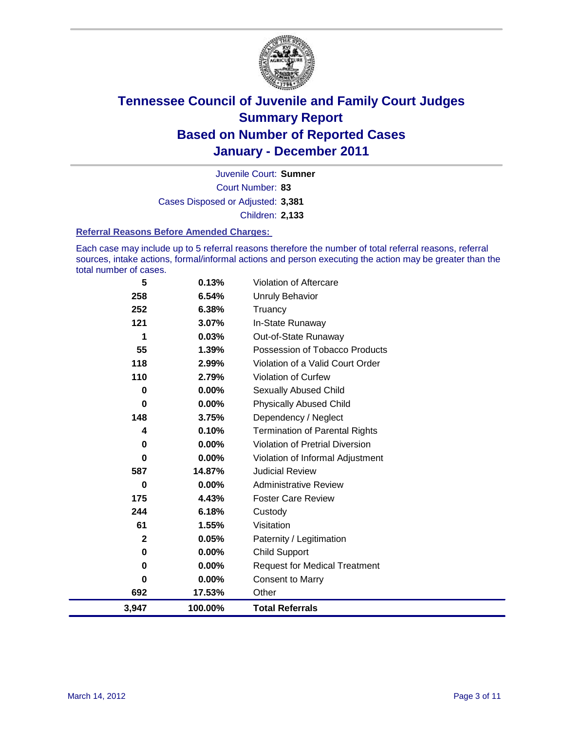

Court Number: **83** Juvenile Court: **Sumner** Cases Disposed or Adjusted: **3,381** Children: **2,133**

#### **Referral Reasons Before Amended Charges:**

Each case may include up to 5 referral reasons therefore the number of total referral reasons, referral sources, intake actions, formal/informal actions and person executing the action may be greater than the total number of cases.

| 5            | 0.13%    | Violation of Aftercare                 |
|--------------|----------|----------------------------------------|
| 258          | 6.54%    | <b>Unruly Behavior</b>                 |
| 252          | 6.38%    | Truancy                                |
| 121          | 3.07%    | In-State Runaway                       |
| 1            | 0.03%    | Out-of-State Runaway                   |
| 55           | 1.39%    | Possession of Tobacco Products         |
| 118          | 2.99%    | Violation of a Valid Court Order       |
| 110          | 2.79%    | <b>Violation of Curfew</b>             |
| 0            | $0.00\%$ | Sexually Abused Child                  |
| 0            | 0.00%    | <b>Physically Abused Child</b>         |
| 148          | 3.75%    | Dependency / Neglect                   |
| 4            | 0.10%    | <b>Termination of Parental Rights</b>  |
| 0            | 0.00%    | <b>Violation of Pretrial Diversion</b> |
| 0            | 0.00%    | Violation of Informal Adjustment       |
| 587          | 14.87%   | <b>Judicial Review</b>                 |
| 0            | $0.00\%$ | <b>Administrative Review</b>           |
| 175          | 4.43%    | <b>Foster Care Review</b>              |
| 244          | 6.18%    | Custody                                |
| 61           | 1.55%    | Visitation                             |
| $\mathbf{2}$ | 0.05%    | Paternity / Legitimation               |
| 0            | 0.00%    | <b>Child Support</b>                   |
| 0            | 0.00%    | <b>Request for Medical Treatment</b>   |
| 0            | $0.00\%$ | <b>Consent to Marry</b>                |
| 692          | 17.53%   | Other                                  |
| 3,947        | 100.00%  | <b>Total Referrals</b>                 |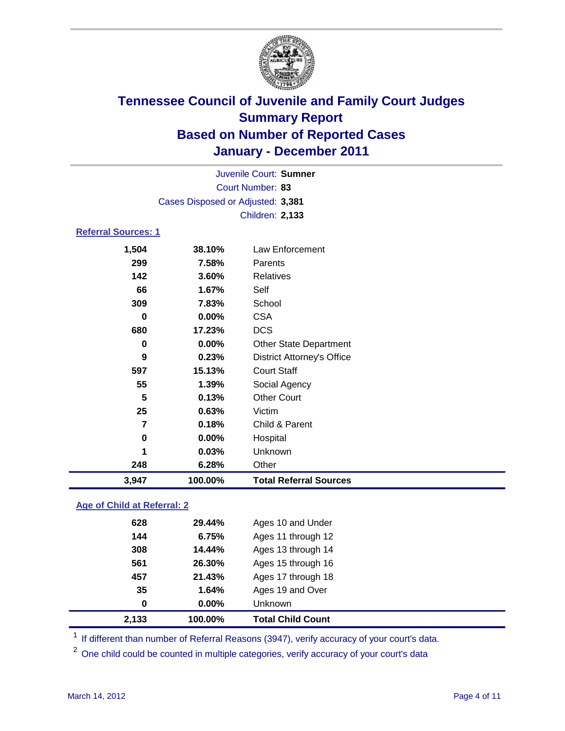

| Juvenile Court: Sumner     |                                   |                                   |  |  |
|----------------------------|-----------------------------------|-----------------------------------|--|--|
|                            | Court Number: 83                  |                                   |  |  |
|                            | Cases Disposed or Adjusted: 3,381 |                                   |  |  |
|                            |                                   | <b>Children: 2,133</b>            |  |  |
| <b>Referral Sources: 1</b> |                                   |                                   |  |  |
| 1,504                      | 38.10%                            | Law Enforcement                   |  |  |
| 299                        | 7.58%                             | Parents                           |  |  |
| 142                        | 3.60%                             | Relatives                         |  |  |
| 66                         | 1.67%                             | Self                              |  |  |
| 309                        | 7.83%                             | School                            |  |  |
| 0                          | 0.00%                             | <b>CSA</b>                        |  |  |
| 680                        | 17.23%                            | <b>DCS</b>                        |  |  |
| 0                          | 0.00%                             | <b>Other State Department</b>     |  |  |
| 9                          | 0.23%                             | <b>District Attorney's Office</b> |  |  |
| 597                        | 15.13%                            | <b>Court Staff</b>                |  |  |
| 55                         | 1.39%                             | Social Agency                     |  |  |
| 5                          | 0.13%                             | <b>Other Court</b>                |  |  |
| 25                         | 0.63%                             | Victim                            |  |  |
| $\overline{7}$             | 0.18%                             | Child & Parent                    |  |  |
| $\bf{0}$                   | 0.00%                             | Hospital                          |  |  |
| 1                          | 0.03%                             | Unknown                           |  |  |
| 248                        | 6.28%                             | Other                             |  |  |
| 3,947                      | 100.00%                           | <b>Total Referral Sources</b>     |  |  |

### **Age of Child at Referral: 2**

| 2,133    | 100.00% | <b>Total Child Count</b> |
|----------|---------|--------------------------|
| $\bf{0}$ | 0.00%   | <b>Unknown</b>           |
| 35       | 1.64%   | Ages 19 and Over         |
| 457      | 21.43%  | Ages 17 through 18       |
| 561      | 26.30%  | Ages 15 through 16       |
| 308      | 14.44%  | Ages 13 through 14       |
| 144      | 6.75%   | Ages 11 through 12       |
| 628      | 29.44%  | Ages 10 and Under        |
|          |         |                          |

<sup>1</sup> If different than number of Referral Reasons (3947), verify accuracy of your court's data.

<sup>2</sup> One child could be counted in multiple categories, verify accuracy of your court's data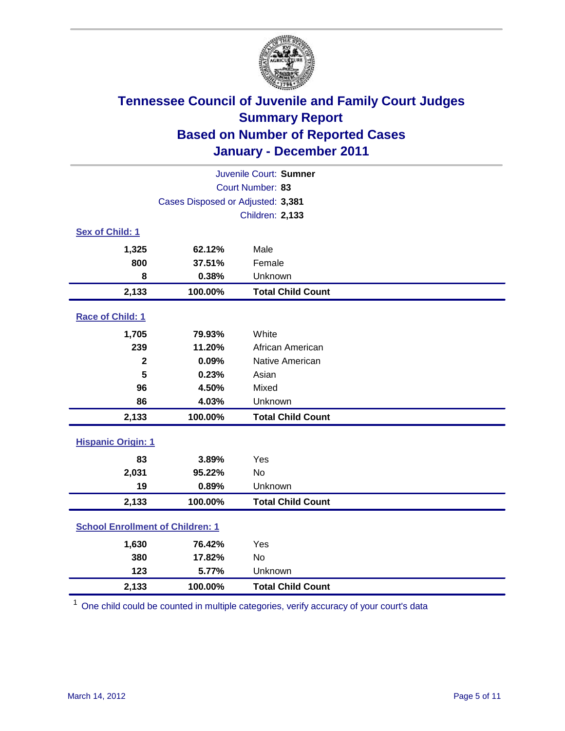

| Juvenile Court: Sumner                  |                                   |                          |  |  |
|-----------------------------------------|-----------------------------------|--------------------------|--|--|
| Court Number: 83                        |                                   |                          |  |  |
|                                         | Cases Disposed or Adjusted: 3,381 |                          |  |  |
|                                         | <b>Children: 2,133</b>            |                          |  |  |
| Sex of Child: 1                         |                                   |                          |  |  |
| 1,325                                   | 62.12%                            | Male                     |  |  |
| 800                                     | 37.51%                            | Female                   |  |  |
| 8                                       | 0.38%                             | Unknown                  |  |  |
| 2,133                                   | 100.00%                           | <b>Total Child Count</b> |  |  |
| Race of Child: 1                        |                                   |                          |  |  |
| 1,705                                   | 79.93%                            | White                    |  |  |
| 239                                     | 11.20%                            | African American         |  |  |
| $\mathbf{2}$                            | 0.09%                             | Native American          |  |  |
| 5                                       | 0.23%                             | Asian                    |  |  |
| 96                                      | 4.50%                             | Mixed                    |  |  |
| 86                                      | 4.03%                             | Unknown                  |  |  |
| 2,133                                   | 100.00%                           | <b>Total Child Count</b> |  |  |
| <b>Hispanic Origin: 1</b>               |                                   |                          |  |  |
| 83                                      | 3.89%                             | Yes                      |  |  |
| 2,031                                   | 95.22%                            | <b>No</b>                |  |  |
| 19                                      | 0.89%                             | Unknown                  |  |  |
| 2,133                                   | 100.00%                           | <b>Total Child Count</b> |  |  |
| <b>School Enrollment of Children: 1</b> |                                   |                          |  |  |
| 1,630                                   | 76.42%                            | Yes                      |  |  |
| 380                                     | 17.82%                            | <b>No</b>                |  |  |
| 123                                     | 5.77%                             | Unknown                  |  |  |
| 2,133                                   | 100.00%                           | <b>Total Child Count</b> |  |  |

<sup>1</sup> One child could be counted in multiple categories, verify accuracy of your court's data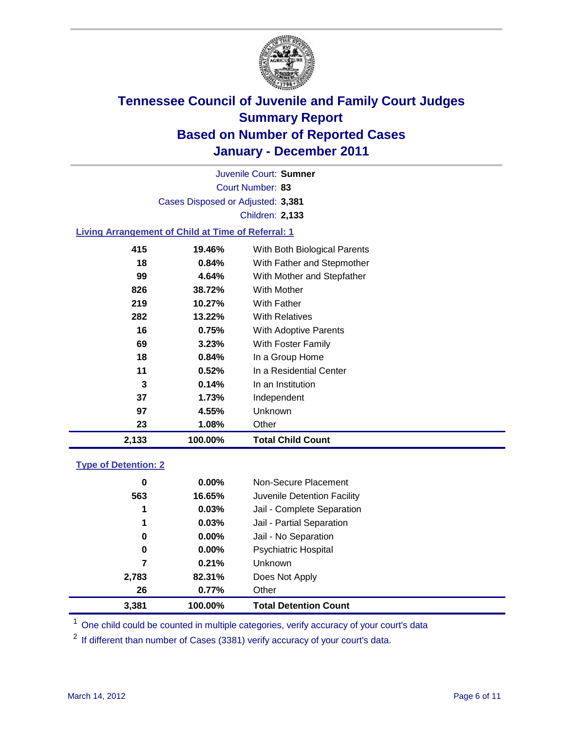

Court Number: **83** Juvenile Court: **Sumner** Cases Disposed or Adjusted: **3,381** Children: **2,133**

### **Living Arrangement of Child at Time of Referral: 1**

| 2,133 | 100.00%  | <b>Total Child Count</b>     |
|-------|----------|------------------------------|
| 23    | 1.08%    | Other                        |
| 97    | 4.55%    | Unknown                      |
| 37    | 1.73%    | Independent                  |
| 3     | 0.14%    | In an Institution            |
| 11    | 0.52%    | In a Residential Center      |
| 18    | $0.84\%$ | In a Group Home              |
| 69    | 3.23%    | With Foster Family           |
| 16    | 0.75%    | With Adoptive Parents        |
| 282   | 13.22%   | <b>With Relatives</b>        |
| 219   | 10.27%   | With Father                  |
| 826   | 38.72%   | <b>With Mother</b>           |
| 99    | 4.64%    | With Mother and Stepfather   |
| 18    | 0.84%    | With Father and Stepmother   |
| 415   | 19.46%   | With Both Biological Parents |
|       |          |                              |

#### **Type of Detention: 2**

| 3,381 | 100.00%  | <b>Total Detention Count</b> |  |
|-------|----------|------------------------------|--|
| 26    | $0.77\%$ | Other                        |  |
| 2,783 | 82.31%   | Does Not Apply               |  |
| 7     | 0.21%    | <b>Unknown</b>               |  |
| 0     | 0.00%    | Psychiatric Hospital         |  |
| 0     | 0.00%    | Jail - No Separation         |  |
| 1     | 0.03%    | Jail - Partial Separation    |  |
| 1     | 0.03%    | Jail - Complete Separation   |  |
| 563   | 16.65%   | Juvenile Detention Facility  |  |
| 0     | $0.00\%$ | Non-Secure Placement         |  |
|       |          |                              |  |

<sup>1</sup> One child could be counted in multiple categories, verify accuracy of your court's data

<sup>2</sup> If different than number of Cases (3381) verify accuracy of your court's data.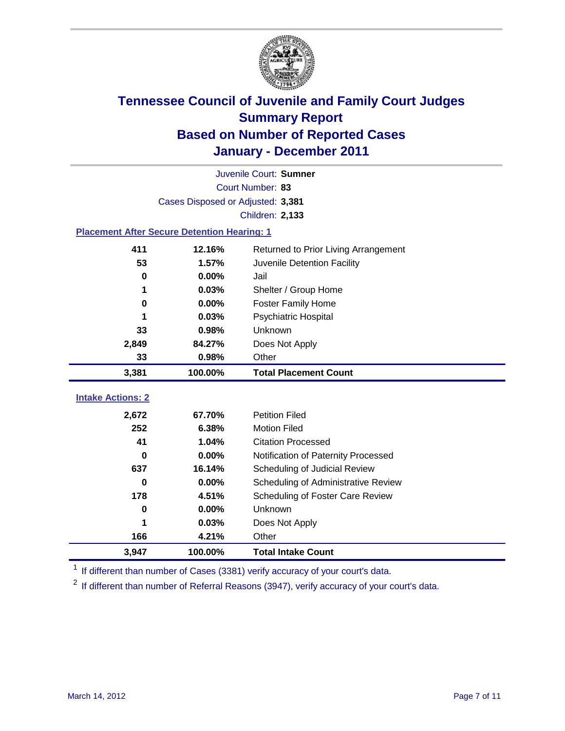

|                          | Juvenile Court: Sumner                             |                                                  |  |  |
|--------------------------|----------------------------------------------------|--------------------------------------------------|--|--|
|                          | Court Number: 83                                   |                                                  |  |  |
|                          | Cases Disposed or Adjusted: 3,381                  |                                                  |  |  |
|                          |                                                    | <b>Children: 2,133</b>                           |  |  |
|                          | <b>Placement After Secure Detention Hearing: 1</b> |                                                  |  |  |
| 411                      | 12.16%                                             | Returned to Prior Living Arrangement             |  |  |
| 53                       | 1.57%                                              | Juvenile Detention Facility                      |  |  |
| 0                        | 0.00%                                              | Jail                                             |  |  |
| 1                        | 0.03%                                              | Shelter / Group Home                             |  |  |
| 0                        | 0.00%                                              | <b>Foster Family Home</b>                        |  |  |
| 1                        | 0.03%                                              | Psychiatric Hospital                             |  |  |
| 33                       | 0.98%                                              | Unknown                                          |  |  |
| 2,849                    | 84.27%                                             | Does Not Apply                                   |  |  |
| 33                       | 0.98%                                              | Other                                            |  |  |
| 3,381                    | 100.00%                                            | <b>Total Placement Count</b>                     |  |  |
| <b>Intake Actions: 2</b> |                                                    |                                                  |  |  |
|                          |                                                    |                                                  |  |  |
|                          |                                                    |                                                  |  |  |
| 2,672                    | 67.70%                                             | <b>Petition Filed</b>                            |  |  |
| 252<br>41                | 6.38%<br>1.04%                                     | <b>Motion Filed</b><br><b>Citation Processed</b> |  |  |
| 0                        | 0.00%                                              | Notification of Paternity Processed              |  |  |
| 637                      | 16.14%                                             | Scheduling of Judicial Review                    |  |  |
| $\bf{0}$                 | 0.00%                                              | Scheduling of Administrative Review              |  |  |
| 178                      | 4.51%                                              | Scheduling of Foster Care Review                 |  |  |
| 0                        | 0.00%                                              | Unknown                                          |  |  |
|                          | 0.03%                                              | Does Not Apply                                   |  |  |
| 166                      | 4.21%                                              | Other                                            |  |  |

<sup>1</sup> If different than number of Cases (3381) verify accuracy of your court's data.

<sup>2</sup> If different than number of Referral Reasons (3947), verify accuracy of your court's data.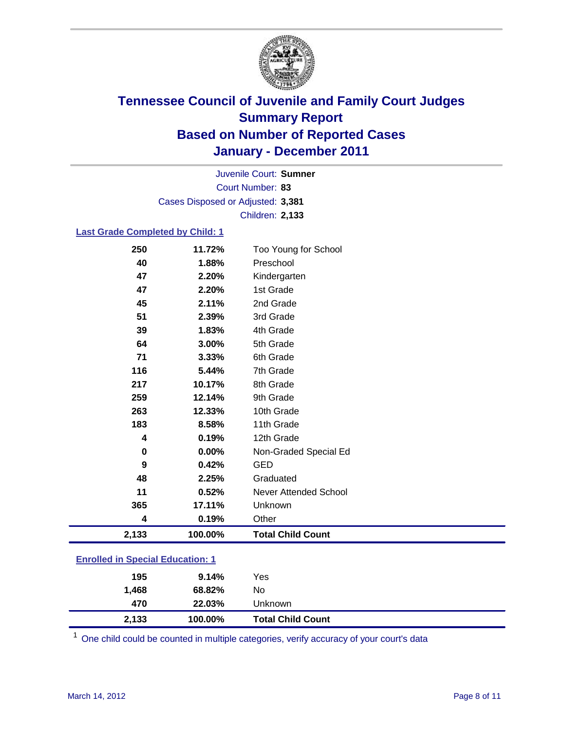

Court Number: **83** Juvenile Court: **Sumner** Cases Disposed or Adjusted: **3,381** Children: **2,133**

### **Last Grade Completed by Child: 1**

| 250                                     | 11.72%  | Too Young for School     |  |
|-----------------------------------------|---------|--------------------------|--|
| 40                                      | 1.88%   | Preschool                |  |
| 47                                      | 2.20%   | Kindergarten             |  |
| 47                                      | 2.20%   | 1st Grade                |  |
| 45                                      | 2.11%   | 2nd Grade                |  |
| 51                                      | 2.39%   | 3rd Grade                |  |
| 39                                      | 1.83%   | 4th Grade                |  |
| 64                                      | 3.00%   | 5th Grade                |  |
| 71                                      | 3.33%   | 6th Grade                |  |
| 116                                     | 5.44%   | 7th Grade                |  |
| 217                                     | 10.17%  | 8th Grade                |  |
| 259                                     | 12.14%  | 9th Grade                |  |
| 263                                     | 12.33%  | 10th Grade               |  |
| 183                                     | 8.58%   | 11th Grade               |  |
| 4                                       | 0.19%   | 12th Grade               |  |
| 0                                       | 0.00%   | Non-Graded Special Ed    |  |
| 9                                       | 0.42%   | <b>GED</b>               |  |
| 48                                      | 2.25%   | Graduated                |  |
| 11                                      | 0.52%   | Never Attended School    |  |
| 365                                     | 17.11%  | Unknown                  |  |
| 4                                       | 0.19%   | Other                    |  |
| 2,133                                   | 100.00% | <b>Total Child Count</b> |  |
| <b>Enrolled in Special Education: 1</b> |         |                          |  |

| 2,133 | 100.00% | <b>Total Child Count</b> |
|-------|---------|--------------------------|
| 470   | 22.03%  | Unknown                  |
| 1.468 | 68.82%  | No                       |
| 195   | 9.14%   | Yes                      |
|       |         |                          |

One child could be counted in multiple categories, verify accuracy of your court's data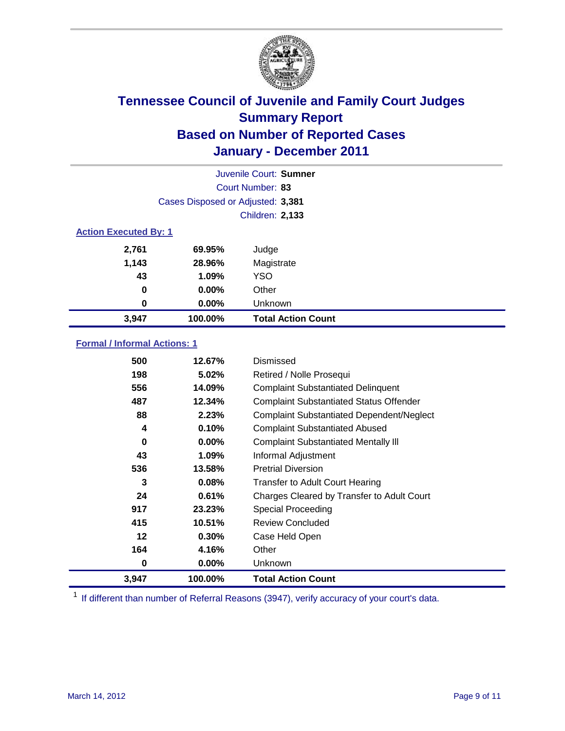

|          |                                   | Juvenile Court: Sumner    |  |  |
|----------|-----------------------------------|---------------------------|--|--|
|          |                                   | Court Number: 83          |  |  |
|          | Cases Disposed or Adjusted: 3,381 |                           |  |  |
|          | <b>Children: 2,133</b>            |                           |  |  |
|          | <b>Action Executed By: 1</b>      |                           |  |  |
| 2,761    | 69.95%                            | Judge                     |  |  |
| 1,143    | 28.96%                            | Magistrate                |  |  |
| 43       | 1.09%                             | <b>YSO</b>                |  |  |
| $\bf{0}$ | 0.00%                             | Other                     |  |  |
| 0        | 0.00%                             | Unknown                   |  |  |
| 3,947    | 100.00%                           | <b>Total Action Count</b> |  |  |

### **Formal / Informal Actions: 1**

| 0       | $0.00\%$ | Unknown                                          |
|---------|----------|--------------------------------------------------|
| 164     | 4.16%    | Other                                            |
| $12 \,$ | 0.30%    | Case Held Open                                   |
| 415     | 10.51%   | <b>Review Concluded</b>                          |
| 917     | 23.23%   | Special Proceeding                               |
| 24      | 0.61%    | Charges Cleared by Transfer to Adult Court       |
| 3       | 0.08%    | <b>Transfer to Adult Court Hearing</b>           |
| 536     | 13.58%   | <b>Pretrial Diversion</b>                        |
| 43      | $1.09\%$ | Informal Adjustment                              |
| 0       | $0.00\%$ | <b>Complaint Substantiated Mentally III</b>      |
| 4       | 0.10%    | <b>Complaint Substantiated Abused</b>            |
| 88      | 2.23%    | <b>Complaint Substantiated Dependent/Neglect</b> |
| 487     | 12.34%   | <b>Complaint Substantiated Status Offender</b>   |
| 556     | 14.09%   | <b>Complaint Substantiated Delinquent</b>        |
| 198     | 5.02%    | Retired / Nolle Prosequi                         |
| 500     | 12.67%   | Dismissed                                        |
|         |          |                                                  |

<sup>1</sup> If different than number of Referral Reasons (3947), verify accuracy of your court's data.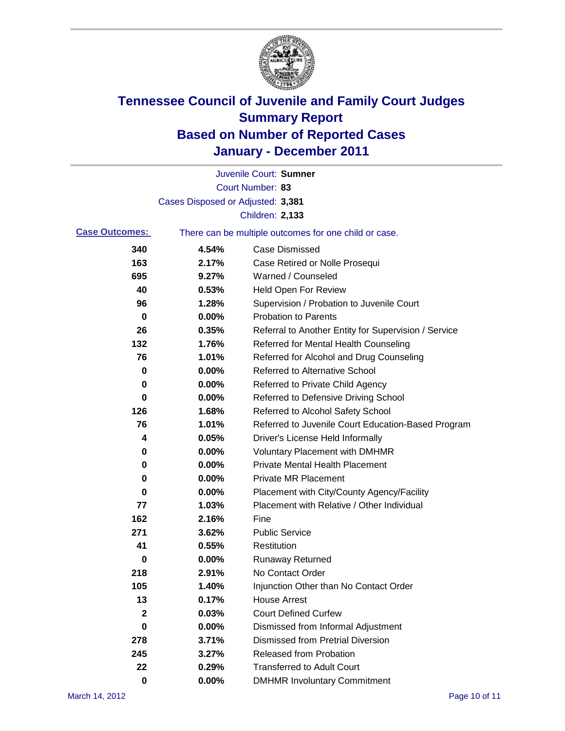

|                       |                                   | Juvenile Court: Sumner                                |
|-----------------------|-----------------------------------|-------------------------------------------------------|
|                       |                                   | Court Number: 83                                      |
|                       | Cases Disposed or Adjusted: 3,381 |                                                       |
|                       |                                   | Children: 2,133                                       |
| <b>Case Outcomes:</b> |                                   | There can be multiple outcomes for one child or case. |
| 340                   | 4.54%                             | <b>Case Dismissed</b>                                 |
| 163                   | 2.17%                             | Case Retired or Nolle Prosequi                        |
| 695                   | 9.27%                             | Warned / Counseled                                    |
| 40                    | 0.53%                             | <b>Held Open For Review</b>                           |
| 96                    | 1.28%                             | Supervision / Probation to Juvenile Court             |
| 0                     | 0.00%                             | <b>Probation to Parents</b>                           |
| 26                    | 0.35%                             | Referral to Another Entity for Supervision / Service  |
| 132                   | 1.76%                             | Referred for Mental Health Counseling                 |
| 76                    | 1.01%                             | Referred for Alcohol and Drug Counseling              |
| 0                     | 0.00%                             | <b>Referred to Alternative School</b>                 |
| 0                     | 0.00%                             | Referred to Private Child Agency                      |
| 0                     | 0.00%                             | Referred to Defensive Driving School                  |
| 126                   | 1.68%                             | Referred to Alcohol Safety School                     |
| 76                    | 1.01%                             | Referred to Juvenile Court Education-Based Program    |
| 4                     | 0.05%                             | Driver's License Held Informally                      |
| 0                     | 0.00%                             | <b>Voluntary Placement with DMHMR</b>                 |
| 0                     | 0.00%                             | <b>Private Mental Health Placement</b>                |
| 0                     | 0.00%                             | <b>Private MR Placement</b>                           |
| 0                     | 0.00%                             | Placement with City/County Agency/Facility            |
| 77                    | 1.03%                             | Placement with Relative / Other Individual            |
| 162                   | 2.16%                             | Fine                                                  |
| 271                   | 3.62%                             | <b>Public Service</b>                                 |
| 41                    | 0.55%                             | Restitution                                           |
| 0                     | 0.00%                             | <b>Runaway Returned</b>                               |
| 218                   | 2.91%                             | No Contact Order                                      |
| 105                   | 1.40%                             | Injunction Other than No Contact Order                |
| 13                    | 0.17%                             | <b>House Arrest</b>                                   |
| 2                     | 0.03%                             | <b>Court Defined Curfew</b>                           |
| 0                     | 0.00%                             | Dismissed from Informal Adjustment                    |
| 278                   | 3.71%                             | <b>Dismissed from Pretrial Diversion</b>              |
| 245                   | 3.27%                             | Released from Probation                               |
| 22                    | 0.29%                             | <b>Transferred to Adult Court</b>                     |
| $\pmb{0}$             | $0.00\%$                          | <b>DMHMR Involuntary Commitment</b>                   |